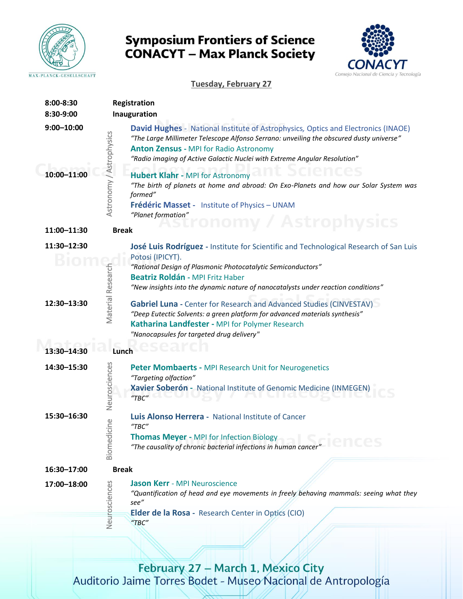

## **Symposium Frontiers of Science CONACYT - Max Planck Society**



**Tuesday, February 27**

| 8:00-8:30                     | Registration                                                                                                                                                                                                                                                                                                                                                                                                                                                                             |  |  |
|-------------------------------|------------------------------------------------------------------------------------------------------------------------------------------------------------------------------------------------------------------------------------------------------------------------------------------------------------------------------------------------------------------------------------------------------------------------------------------------------------------------------------------|--|--|
| 8:30-9:00                     | Inauguration                                                                                                                                                                                                                                                                                                                                                                                                                                                                             |  |  |
| $9:00 - 10:00$<br>10:00-11:00 | David Hughes - National Institute of Astrophysics, Optics and Electronics (INAOE)<br>/ Astrophysics<br>"The Large Millimeter Telescope Alfonso Serrano: unveiling the obscured dusty universe"<br><b>Anton Zensus - MPI for Radio Astronomy</b><br>"Radio imaging of Active Galactic Nuclei with Extreme Angular Resolution"<br><b>Hubert Klahr - MPI for Astronomy</b><br>Astronomy<br>"The birth of planets at home and abroad: On Exo-Planets and how our Solar System was<br>formed" |  |  |
|                               | Frédéric Masset - Institute of Physics - UNAM                                                                                                                                                                                                                                                                                                                                                                                                                                            |  |  |
|                               | "Planet formation"                                                                                                                                                                                                                                                                                                                                                                                                                                                                       |  |  |
| 11:00-11:30                   | omy / Astrophysics<br><b>Break</b>                                                                                                                                                                                                                                                                                                                                                                                                                                                       |  |  |
| 11:30-12:30                   | José Luis Rodríguez - Institute for Scientific and Technological Research of San Luis<br>Potosi (IPICYT).                                                                                                                                                                                                                                                                                                                                                                                |  |  |
|                               | "Rational Design of Plasmonic Photocatalytic Semiconductors"                                                                                                                                                                                                                                                                                                                                                                                                                             |  |  |
|                               | Beatriz Roldán - MPI Fritz Haber                                                                                                                                                                                                                                                                                                                                                                                                                                                         |  |  |
|                               | "New insights into the dynamic nature of nanocatalysts under reaction conditions"                                                                                                                                                                                                                                                                                                                                                                                                        |  |  |
| 12:30-13:30                   | Material Research<br>Gabriel Luna - Center for Research and Advanced Studies (CINVESTAV)<br>"Deep Eutectic Solvents: a green platform for advanced materials synthesis"<br>Katharina Landfester - MPI for Polymer Research<br>"Nanocapsules for targeted drug delivery"                                                                                                                                                                                                                  |  |  |
| 13:30-14:30<br>Lunch          |                                                                                                                                                                                                                                                                                                                                                                                                                                                                                          |  |  |
| 14:30-15:30                   | Neurosciences<br>Peter Mombaerts - MPI Research Unit for Neurogenetics<br>"Targeting olfaction"<br>Xavier Soberón - National Institute of Genomic Medicine (INMEGEN)<br>TBC''                                                                                                                                                                                                                                                                                                            |  |  |
| 15:30-16:30<br>Biomedicine    | Luis Alonso Herrera - National Institute of Cancer<br>$H$ TBC $H$                                                                                                                                                                                                                                                                                                                                                                                                                        |  |  |
|                               | <b>Thomas Meyer - MPI for Infection Biology</b><br>"The causality of chronic bacterial infections in human cancer"                                                                                                                                                                                                                                                                                                                                                                       |  |  |
| 16:30-17:00                   | <b>Break</b>                                                                                                                                                                                                                                                                                                                                                                                                                                                                             |  |  |
| 17:00-18:00                   | Neurosciences<br><b>Jason Kerr - MPI Neuroscience</b><br>"Quantification of head and eye movements in freely behaving mammals: seeing what they<br>see"                                                                                                                                                                                                                                                                                                                                  |  |  |
|                               | Elder de la Rosa - Research Center in Optics (CIO)<br>$H$ TBC $''$                                                                                                                                                                                                                                                                                                                                                                                                                       |  |  |

February 27 - March 1, Mexico City<br>Auditorio Jaime Torres Bodet - Museo Nacional de Antropología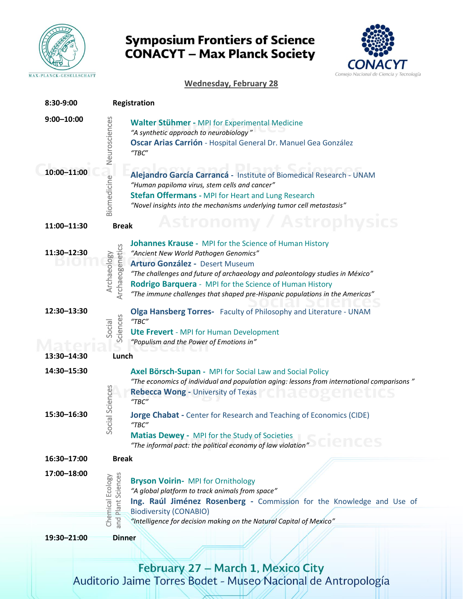

## **Symposium Frontiers of Science CONACYT - Max Planck Society**



#### **Wednesday, February 28**

| 8:30-9:00      |                                        | Registration                                                                                                                                                                                                                                                                                                                                                   |
|----------------|----------------------------------------|----------------------------------------------------------------------------------------------------------------------------------------------------------------------------------------------------------------------------------------------------------------------------------------------------------------------------------------------------------------|
| $9:00 - 10:00$ | Neurosciences                          | Walter Stühmer - MPI for Experimental Medicine<br>"A synthetic approach to neurobiology"<br>Oscar Arias Carrión - Hospital General Dr. Manuel Gea González<br>$H$ TBC $"$                                                                                                                                                                                      |
| 10:00-11:00    | Biomedicine                            | Alejandro García Carrancá - Institute of Biomedical Research - UNAM<br>"Human papiloma virus, stem cells and cancer"<br><b>Stefan Offermans - MPI for Heart and Lung Research</b><br>"Novel insights into the mechanisms underlying tumor cell metastasis"                                                                                                     |
| 11:00-11:30    | <b>Break</b>                           | Astronomy / Astrophysics                                                                                                                                                                                                                                                                                                                                       |
| 11:30-12:30    | Archaeogenetics<br>Archaeology         | Johannes Krause - MPI for the Science of Human History<br>"Ancient New World Pathogen Genomics"<br>Arturo González - Desert Museum<br>"The challenges and future of archaeology and paleontology studies in México"<br>Rodrigo Barquera - MPI for the Science of Human History<br>"The immune challenges that shaped pre-Hispanic populations in the Americas" |
| 12:30-13:30    | Sciences<br>Social                     | Olga Hansberg Torres- Faculty of Philosophy and Literature - UNAM<br>$H$ TBC $H$<br><b>Ute Frevert</b> - MPI for Human Development<br>"Populism and the Power of Emotions in"                                                                                                                                                                                  |
| 13:30-14:30    | Lunch                                  |                                                                                                                                                                                                                                                                                                                                                                |
| 14:30-15:30    |                                        | Axel Börsch-Supan - MPI for Social Law and Social Policy<br>"The economics of individual and population aging: lessons from international comparisons"<br><b>Rebecca Wong - University of Texas</b><br>$H$ TBC $H$                                                                                                                                             |
| 15:30-16:30    | ocial Sciences<br>S                    | <b>Jorge Chabat</b> - Center for Research and Teaching of Economics (CIDE)<br>$H$ TBC $H$<br>Matias Dewey - MPI for the Study of Societies<br>"The informal pact: the political economy of law violation"                                                                                                                                                      |
| 16:30-17:00    | <b>Break</b>                           |                                                                                                                                                                                                                                                                                                                                                                |
| 17:00-18:00    | and Plant Sciences<br>Chemical Ecology | <b>Bryson Voirin- MPI for Ornithology</b><br>"A global platform to track animals from space"<br>Ing. Raúl Jiménez Rosenberg - Commission for the Knowledge and Use of<br><b>Biodiversity (CONABIO)</b><br>"Intelligence for decision making on the Natural Capital of Mexico"                                                                                  |
| 19:30-21:00    | <b>Dinner</b>                          |                                                                                                                                                                                                                                                                                                                                                                |
|                |                                        |                                                                                                                                                                                                                                                                                                                                                                |

February 27 - March 1, Mexico City<br>Auditorio Jaime Torres Bodet - Museo Nacional de Antropología